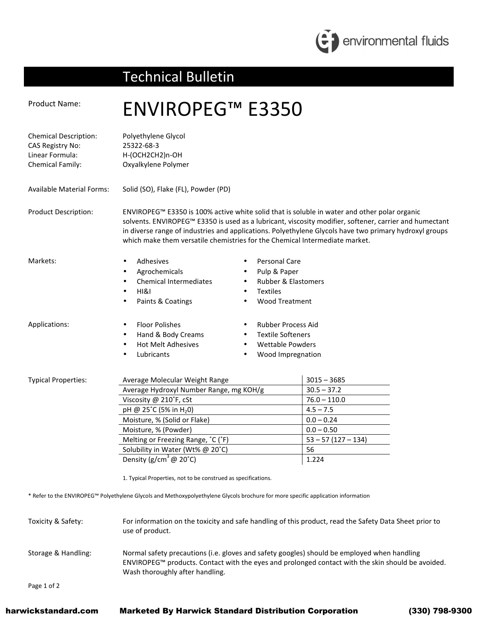

## Technical Bulletin

## Product Name: ENVIROPEG™ E3350 Chemical Description: Polyethylene Glycol CAS Registry No: 25322-68-3 Linear Formula: H-(OCH2CH2)n-OH Chemical Family: Oxyalkylene Polymer Available Material Forms: Solid (SO), Flake (FL), Powder (PD) Product Description: ENVIROPEG™ E3350 is 100% active white solid that is soluble in water and other polar organic solvents. ENVIROPEG™ E3350 is used as a lubricant, viscosity modifier, softener, carrier and humectant in diverse range of industries and applications. Polyethylene Glycols have two primary hydroxyl groups which make them versatile chemistries for the Chemical Intermediate market. Markets: • Adhesives **Agrochemicals** • Chemical Intermediates • HI&I • Paints & Coatings Personal Care • Pulp & Paper • Rubber & Elastomers • Textiles • Wood Treatment Applications: • Floor Polishes • Hand & Body Creams • Hot Melt Adhesives **Lubricants** • Rubber Process Aid • Textile Softeners • Wettable Powders • Wood Impregnation Typical Properties: Average Molecular Weight Range  $\vert$  3015 – 3685 Average Hydroxyl Number Range, mg KOH/g  $\vert$  30.5 – 37.2 Viscosity @ 210 $\degree$ F, cSt 76.0 – 110.0 pH @ 25<sup>°</sup>C (5% in H<sub>2</sub>0)  $4.5 - 7.5$ Moisture, % (Solid or Flake)  $\begin{array}{|c|c|c|c|c|c|c|c|c|} \hline 0.0-0.24 \hline \end{array}$ Moisture, % (Powder) 1.0.0 – 0.50 Melting or Freezing Range,  $^{\circ}$ C ( $^{\circ}$ F)  $\qquad \qquad$  53 – 57 (127 – 134) Solubility in Water (Wt% @ 20°C) 56 Density  $(g/cm^3 \textcircled{a} 20^{\circ}\text{C})$  1.224 1. Typical Properties, not to be construed as specifications. \* Refer to the ENVIROPEG™ Polyethylene Glycols and Methoxypolyethylene Glycols brochure for more specific application information Toxicity & Safety: For information on the toxicity and safe handling of this product, read the Safety Data Sheet prior to use of product. Storage & Handling: Normal safety precautions (i.e. gloves and safety googles) should be employed when handling ENVIROPEG™ products. Contact with the eyes and prolonged contact with the skin should be avoided. Wash thoroughly after handling.

Page 1 of 2